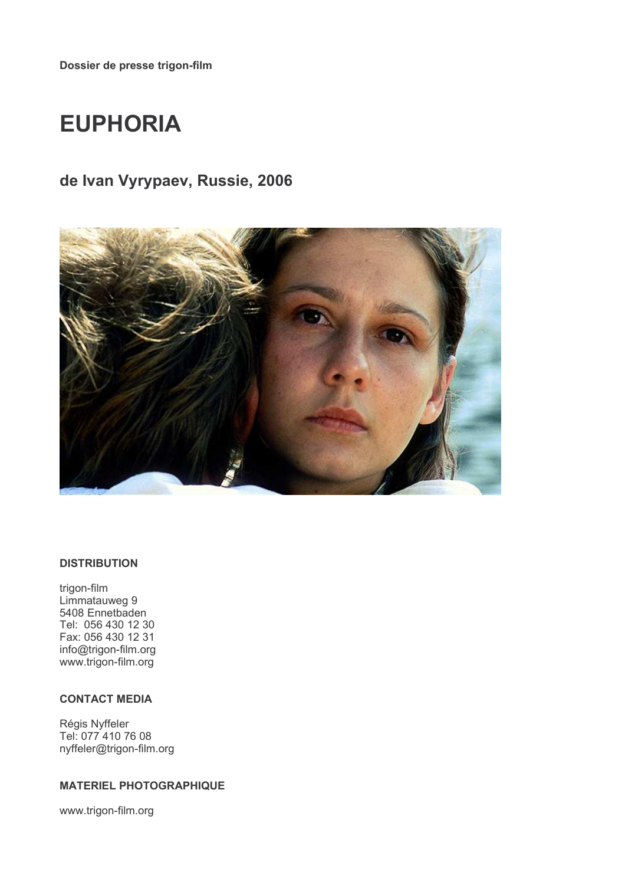# **EUPHORIA**

# de Ivan Vyrypaev, Russie, 2006



#### **DISTRIBUTION**

trigon-film Limmatauweg 9 5408 Ennetbaden Tel: 056 430 12 30 Fax: 056 430 12 31 info@trigon-film.org www.trigon-film.org

## **CONTACT MEDIA**

Régis Nyffeler Tel: 077 410 76 08 nyffeler@trigon-film.org

#### **MATERIEL PHOTOGRAPHIQUE**

www.trigon-film.org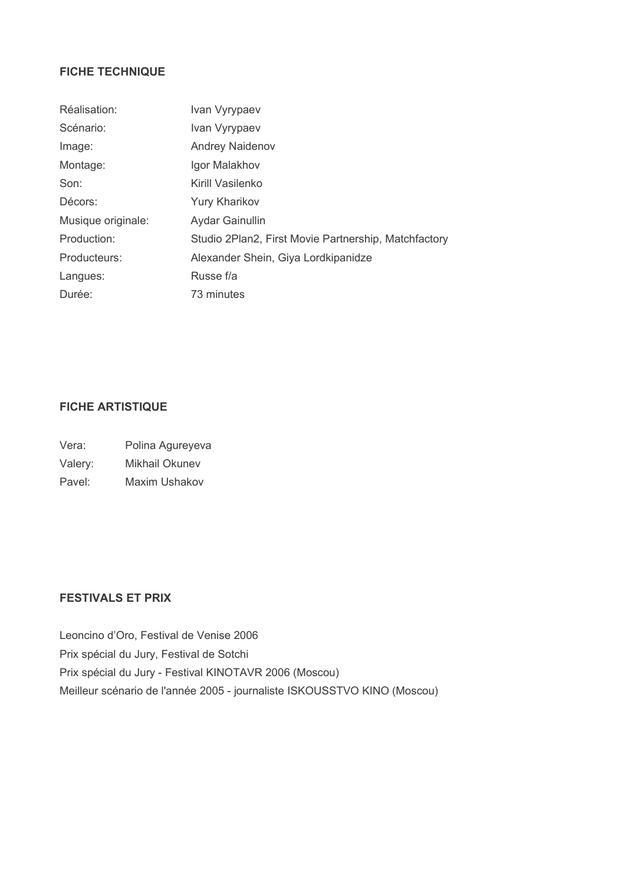# **FICHE TECHNIQUE**

| Réalisation:       | Ivan Vyrypaev                                        |
|--------------------|------------------------------------------------------|
| Scénario:          | Ivan Vyrypaev                                        |
| Image:             | <b>Andrey Naidenov</b>                               |
| Montage:           | Igor Malakhov                                        |
| Son:               | Kirill Vasilenko                                     |
| Décors:            | Yury Kharikov                                        |
| Musique originale: | Aydar Gainullin                                      |
| Production:        | Studio 2Plan2, First Movie Partnership, Matchfactory |
| Producteurs:       | Alexander Shein, Giya Lordkipanidze                  |
| Langues:           | Russe f/a                                            |
| Durée:             | 73 minutes                                           |

# **FICHE ARTISTIQUE**

- Vera: Polina Agureyeva
- Valery: Mikhail Okunev
- Maxim Ushakov Pavel:

# **FESTIVALS ET PRIX**

Leoncino d'Oro, Festival de Venise 2006 Prix spécial du Jury, Festival de Sotchi Prix spécial du Jury - Festival KINOTAVR 2006 (Moscou) Meilleur scénario de l'année 2005 - journaliste ISKOUSSTVO KINO (Moscou)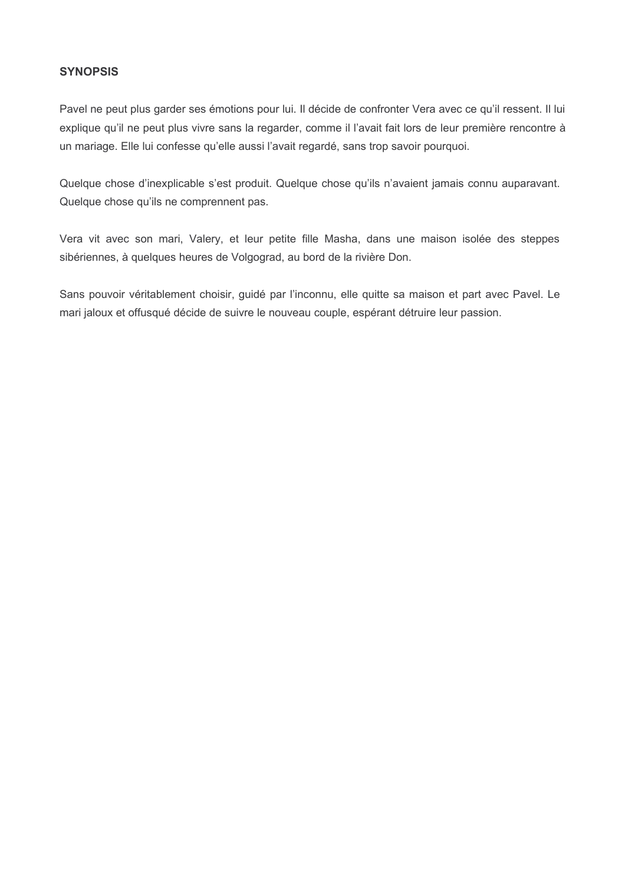#### **SYNOPSIS**

Pavel ne peut plus garder ses émotions pour lui. Il décide de confronter Vera avec ce qu'il ressent. Il lui explique qu'il ne peut plus vivre sans la regarder, comme il l'avait fait lors de leur première rencontre à un mariage. Elle lui confesse qu'elle aussi l'avait regardé, sans trop savoir pourquoi.

Quelque chose d'inexplicable s'est produit. Quelque chose qu'ils n'avaient jamais connu auparavant. Quelque chose qu'ils ne comprennent pas.

Vera vit avec son mari, Valery, et leur petite fille Masha, dans une maison isolée des steppes sibériennes, à quelques heures de Volgograd, au bord de la rivière Don.

Sans pouvoir véritablement choisir, quidé par l'inconnu, elle quitte sa maison et part avec Pavel. Le mari jaloux et offusqué décide de suivre le nouveau couple, espérant détruire leur passion.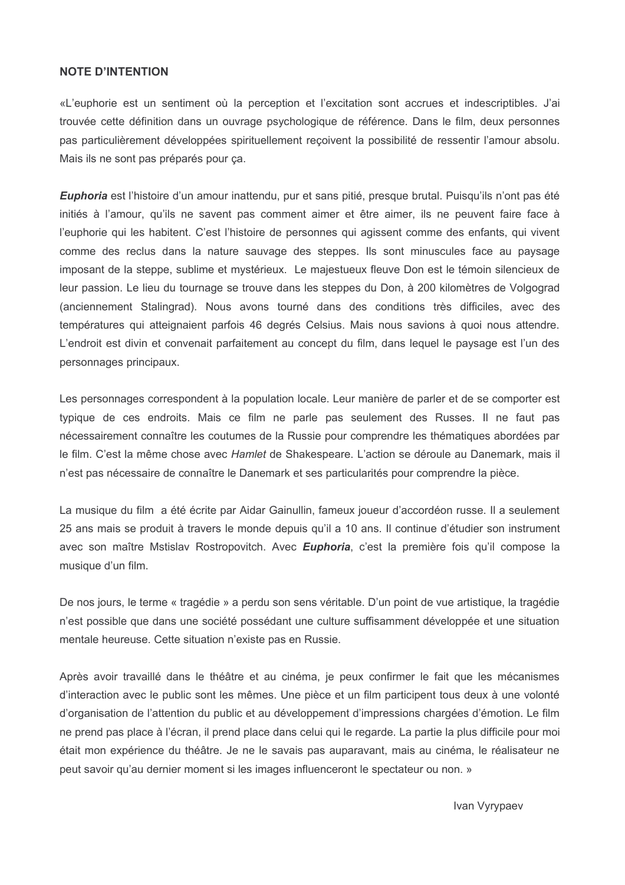#### **NOTE D'INTENTION**

«L'euphorie est un sentiment où la perception et l'excitation sont accrues et indescriptibles. J'ai trouvée cette définition dans un ouvrage psychologique de référence. Dans le film, deux personnes pas particulièrement développées spirituellement reçoivent la possibilité de ressentir l'amour absolu. Mais ils ne sont pas préparés pour ca.

Euphoria est l'histoire d'un amour inattendu, pur et sans pitié, presque brutal. Puisqu'ils n'ont pas été initiés à l'amour, qu'ils ne savent pas comment aimer et être aimer, ils ne peuvent faire face à l'euphorie qui les habitent. C'est l'histoire de personnes qui agissent comme des enfants, qui vivent comme des reclus dans la nature sauvage des steppes. Ils sont minuscules face au paysage imposant de la steppe, sublime et mystérieux. Le majestueux fleuve Don est le témoin silencieux de leur passion. Le lieu du tournage se trouve dans les steppes du Don, à 200 kilomètres de Volgograd (anciennement Stalingrad). Nous avons tourné dans des conditions très difficiles, avec des températures qui atteignaient parfois 46 degrés Celsius. Mais nous savions à quoi nous attendre. L'endroit est divin et convenait parfaitement au concept du film, dans lequel le paysage est l'un des personnages principaux.

Les personnages correspondent à la population locale. Leur manière de parler et de se comporter est typique de ces endroits. Mais ce film ne parle pas seulement des Russes. Il ne faut pas nécessairement connaître les coutumes de la Russie pour comprendre les thématiques abordées par le film. C'est la même chose avec Hamlet de Shakespeare. L'action se déroule au Danemark, mais il n'est pas nécessaire de connaître le Danemark et ses particularités pour comprendre la pièce.

La musique du film a été écrite par Aidar Gainullin, fameux joueur d'accordéon russe. Il a seulement 25 ans mais se produit à travers le monde depuis qu'il a 10 ans. Il continue d'étudier son instrument avec son maître Mstislav Rostropovitch. Avec **Euphoria**, c'est la première fois qu'il compose la musique d'un film.

De nos jours, le terme « tragédie » a perdu son sens véritable. D'un point de vue artistique, la tragédie n'est possible que dans une société possédant une culture suffisamment développée et une situation mentale heureuse. Cette situation n'existe pas en Russie.

Après avoir travaillé dans le théâtre et au cinéma, je peux confirmer le fait que les mécanismes d'interaction avec le public sont les mêmes. Une pièce et un film participent tous deux à une volonté d'organisation de l'attention du public et au développement d'impressions chargées d'émotion. Le film ne prend pas place à l'écran, il prend place dans celui qui le regarde. La partie la plus difficile pour moi était mon expérience du théâtre. Je ne le savais pas auparavant, mais au cinéma, le réalisateur ne peut savoir qu'au dernier moment si les images influenceront le spectateur ou non. »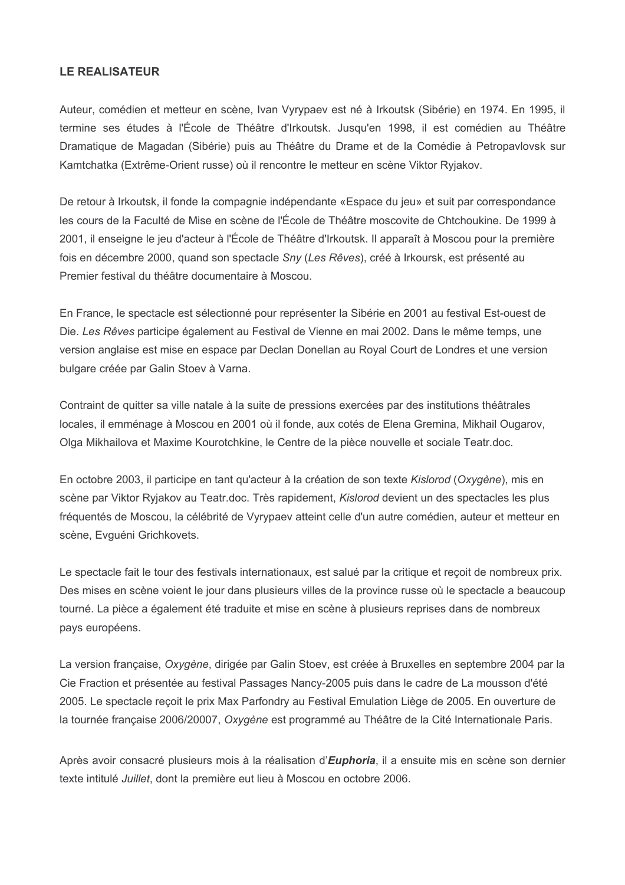#### **LE REALISATEUR**

Auteur, comédien et metteur en scène, Ivan Vyrypaev est né à Irkoutsk (Sibérie) en 1974. En 1995, il termine ses études à l'École de Théâtre d'Irkoutsk. Jusqu'en 1998, il est comédien au Théâtre Dramatique de Magadan (Sibérie) puis au Théâtre du Drame et de la Comédie à Petropavlovsk sur Kamtchatka (Extrême-Orient russe) où il rencontre le metteur en scène Viktor Rviakov.

De retour à Irkoutsk, il fonde la compagnie indépendante «Espace du jeu» et suit par correspondance les cours de la Faculté de Mise en scène de l'École de Théâtre moscovite de Chtchoukine. De 1999 à 2001, il enseigne le jeu d'acteur à l'École de Théâtre d'Irkoutsk. Il apparaît à Moscou pour la première fois en décembre 2000, quand son spectacle Sny (Les Rêves), créé à Irkoursk, est présenté au Premier festival du théâtre documentaire à Moscou.

En France, le spectacle est sélectionné pour représenter la Sibérie en 2001 au festival Est-ouest de Die. Les Rêves participe également au Festival de Vienne en mai 2002. Dans le même temps, une version anglaise est mise en espace par Declan Donellan au Royal Court de Londres et une version bulgare créée par Galin Stoev à Varna.

Contraint de quitter sa ville natale à la suite de pressions exercées par des institutions théâtrales locales, il emménage à Moscou en 2001 où il fonde, aux cotés de Elena Gremina, Mikhail Ougarov, Olga Mikhailova et Maxime Kourotchkine, le Centre de la pièce nouvelle et sociale Teatr.doc.

En octobre 2003, il participe en tant qu'acteur à la création de son texte Kislorod (Oxygène), mis en scène par Viktor Ryjakov au Teatr.doc. Très rapidement, Kislorod devient un des spectacles les plus fréquentés de Moscou, la célébrité de Vyrypaev atteint celle d'un autre comédien, auteur et metteur en scène, Evquéni Grichkovets.

Le spectacle fait le tour des festivals internationaux, est salué par la critique et recoit de nombreux prix. Des mises en scène voient le jour dans plusieurs villes de la province russe où le spectacle a beaucoup tourné. La pièce a également été traduite et mise en scène à plusieurs reprises dans de nombreux pays européens.

La version française, Oxygène, dirigée par Galin Stoev, est créée à Bruxelles en septembre 2004 par la Cie Fraction et présentée au festival Passages Nancy-2005 puis dans le cadre de La mousson d'été 2005. Le spectacle recoit le prix Max Parfondry au Festival Emulation Liège de 2005. En ouverture de la tournée française 2006/20007, Oxygène est programmé au Théâtre de la Cité Internationale Paris.

Après avoir consacré plusieurs mois à la réalisation d'Euphoria, il a ensuite mis en scène son dernier texte intitulé *Juillet*, dont la première eut lieu à Moscou en octobre 2006.